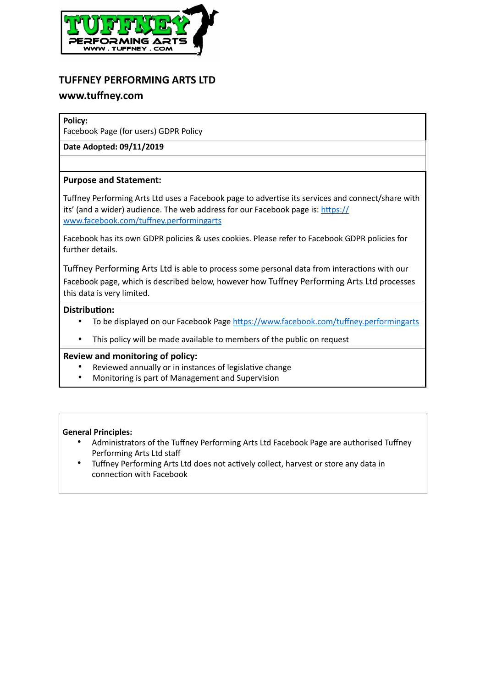

# **TUFFNEY PERFORMING ARTS LTD**

# **www.tuffney.com**

#### **Policy:**

Facebook Page (for users) GDPR Policy

**Date Adopted: 09/11/2019**

# **Purpose and Statement:**

Tuffney Performing Arts Ltd uses a Facebook page to advertise its services and connect/share with its' (and a wider) audience. The web address for our Facebook page is:  $\frac{https://}{https://}$ www.facebook.com/tuffney.performingarts

Facebook has its own GDPR policies & uses cookies. Please refer to Facebook GDPR policies for further details.

Tuffney Performing Arts Ltd is able to process some personal data from interactions with our Facebook page, which is described below, however how Tuffney Performing Arts Ltd processes this data is very limited.

# **Distribution:**

- To be displayed on our Facebook Page https://www.facebook.com/tuffney.performingarts
- This policy will be made available to members of the public on request

# **Review and monitoring of policy:**

- Reviewed annually or in instances of legislative change
- Monitoring is part of Management and Supervision

#### **General Principles:**

- Administrators of the Tuffney Performing Arts Ltd Facebook Page are authorised Tuffney Performing Arts Ltd staff
- Tuffney Performing Arts Ltd does not actively collect, harvest or store any data in connection with Facebook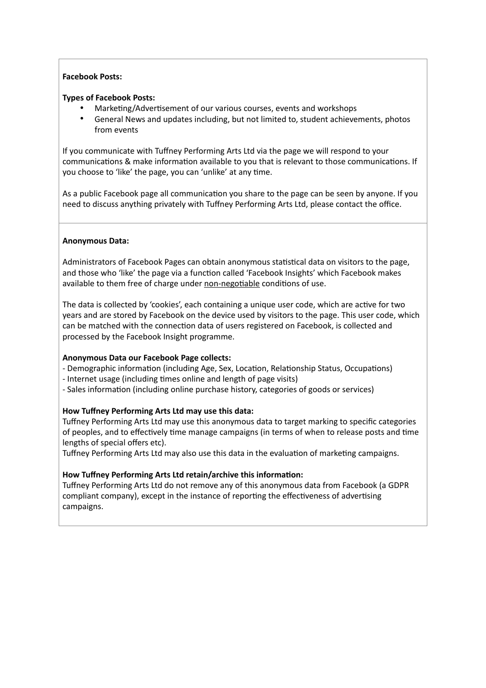#### **Facebook Posts:**

#### **Types of Facebook Posts:**

- Marketing/Advertisement of our various courses, events and workshops
- General News and updates including, but not limited to, student achievements, photos from events

If you communicate with Tuffney Performing Arts Ltd via the page we will respond to your communications & make information available to you that is relevant to those communications. If you choose to 'like' the page, you can 'unlike' at any time.

As a public Facebook page all communication you share to the page can be seen by anyone. If you need to discuss anything privately with Tuffney Performing Arts Ltd, please contact the office.

#### **Anonymous Data:**

Administrators of Facebook Pages can obtain anonymous statistical data on visitors to the page, and those who 'like' the page via a function called 'Facebook Insights' which Facebook makes available to them free of charge under non-negotiable conditions of use.

The data is collected by 'cookies', each containing a unique user code, which are active for two years and are stored by Facebook on the device used by visitors to the page. This user code, which can be matched with the connection data of users registered on Facebook, is collected and processed by the Facebook Insight programme.

#### **Anonymous Data our Facebook Page collects:**

- Demographic information (including Age, Sex, Location, Relationship Status, Occupations)
- Internet usage (including times online and length of page visits)
- Sales information (including online purchase history, categories of goods or services)

# **How Tuffney Performing Arts Ltd may use this data:**

Tuffney Performing Arts Ltd may use this anonymous data to target marking to specific categories of peoples, and to effectively time manage campaigns (in terms of when to release posts and time lengths of special offers etc).

Tuffney Performing Arts Ltd may also use this data in the evaluation of marketing campaigns.

# How Tuffney Performing Arts Ltd retain/archive this information:

Tuffney Performing Arts Ltd do not remove any of this anonymous data from Facebook (a GDPR compliant company), except in the instance of reporting the effectiveness of advertising campaigns.